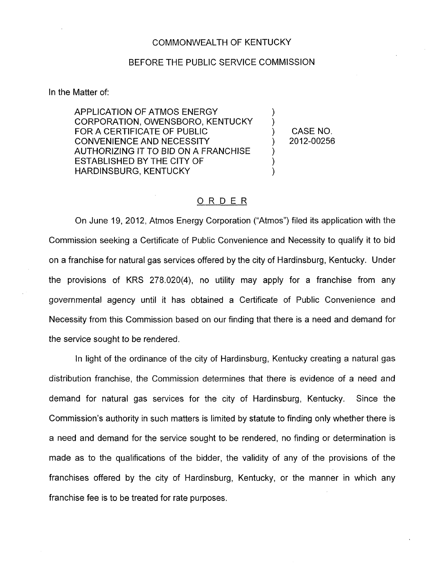## BEFORE THE PUBLIC SERVICE COMMISSION

In the Matter of:

APPLICATION OF ATMOS ENERGY CORPORATION, OWENSBORO, KENTUCKY FOR A CERTIFICATE OF PUBLIC  $\qquad \qquad$  (CASE NO. CONVENIENCE AND NECESSITY ) 2012-00256 AUTHORIZING IT TO BID ON A FRANCHISE ESTABLISHED BY THE CITY OF ) HARDINSBURG, KENTUCKY )

## ORDER

On June 19, 2012, Atmos Energy Corporation ("Atmos") filed its application with the Commission seeking a Certificate of Public Convenience and Necessity to qualify it to bid on a franchise for natural gas services offered by the city of Hardinsburg, Kentucky. Under the provisions of KRS 278.020(4), no utility may apply for a franchise from any governmental agency until it has obtained a Certificate of Public Convenience and Necessity from this Commission based on our finding that there is a need and demand for the service sought to be rendered.

In light of the ordinance of the city of Hardinsburg, Kentucky creating a natural gas distribution franchise, the Commission determines that there is evidence of a need and demand for natural gas services for the city of Hardinsburg, Kentucky. Since the Commission's authority in such matters is limited by statute to finding only whether there is a need and demand for the service sought to be rendered, no finding or determination is made as to the qualifications of the bidder, the validity of any of the provisions of the franchises offered by the city of Hardinsburg, Kentucky, or the manner in which any franchise fee is to be treated for rate purposes.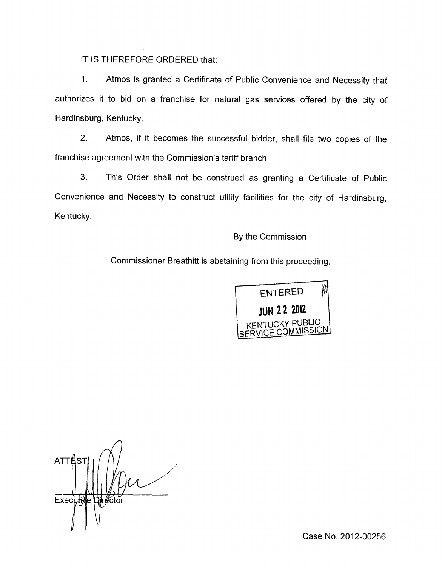IT IS THEREFORE ORDERED that:

I. Atmos is granted a Certificate of Public Convenience and Necessity that authorizes it to bid on a franchise for natural gas services offered by the city of Hardinsburg, Kentucky.

2. Atmos, if it becomes the successful bidder, shall file two copies of the franchise agreement with the Commission's tariff branch.

**3.** This Order shall not be construed as granting a Certificate of Public Convenience and Necessity to construct utility facilities for the city of Hardinsburg, Kentucky.

By the Commission

Commissioner Breathitt is abstaining from this proceeding.



**ATTES** Executive Director